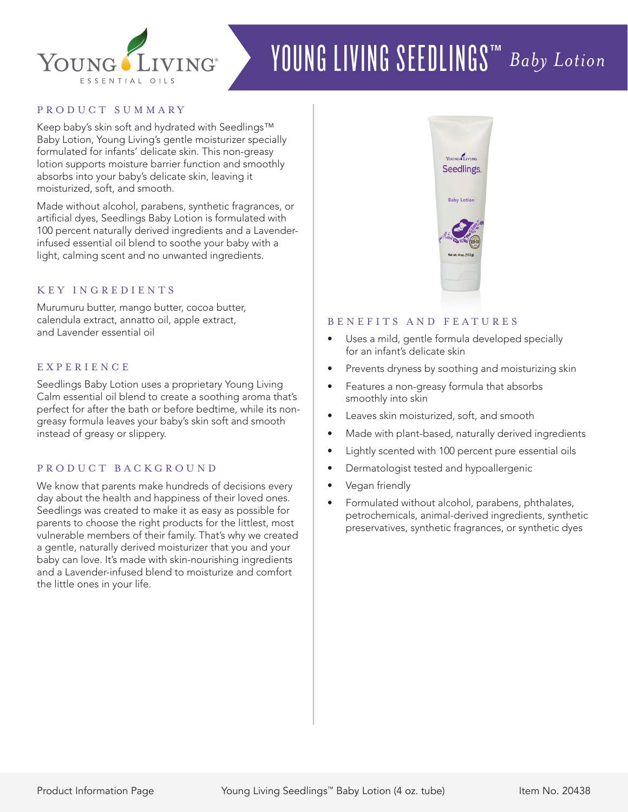

# YOUNG LIVING SEEDLINGS™ *Baby Lotion*

# PRODUCT SUMMARY

Keep baby's skin soft and hydrated with Seedlings™ Baby Lotion, Young Living's gentle moisturizer specially formulated for infants' delicate skin. This non-greasy lotion supports moisture barrier function and smoothly absorbs into your baby's delicate skin, leaving it moisturized, soft, and smooth.

Made without alcohol, parabens, synthetic fragrances, or artificial dyes, Seedlings Baby Lotion is formulated with 100 percent naturally derived ingredients and a Lavenderinfused essential oil blend to soothe your baby with a light, calming scent and no unwanted ingredients.

### KEY INGREDIENTS

Murumuru butter, mango butter, cocoa butter, calendula extract, annatto oil, apple extract, and Lavender essential oil

# **EXPERIENCE**

Seedlings Baby Lotion uses a proprietary Young Living Calm essential oil blend to create a soothing aroma that's perfect for after the bath or before bedtime, while its nongreasy formula leaves your baby's skin soft and smooth instead of greasy or slippery.

#### PRODUCT BACKGROUND

We know that parents make hundreds of decisions every day about the health and happiness of their loved ones. Seedlings was created to make it as easy as possible for parents to choose the right products for the littlest, most vulnerable members of their family. That's why we created a gentle, naturally derived moisturizer that you and your baby can love. It's made with skin-nourishing ingredients and a Lavender-infused blend to moisturize and comfort the little ones in your life.



# B E N E F I T S A N D F E A T U R E S

- Uses a mild, gentle formula developed specially for an infant's delicate skin
- Prevents dryness by soothing and moisturizing skin
- Features a non-greasy formula that absorbs smoothly into skin
- Leaves skin moisturized, soft, and smooth
- Made with plant-based, naturally derived ingredients
- Lightly scented with 100 percent pure essential oils
- Dermatologist tested and hypoallergenic
- Vegan friendly
- Formulated without alcohol, parabens, phthalates, petrochemicals, animal-derived ingredients, synthetic preservatives, synthetic fragrances, or synthetic dyes